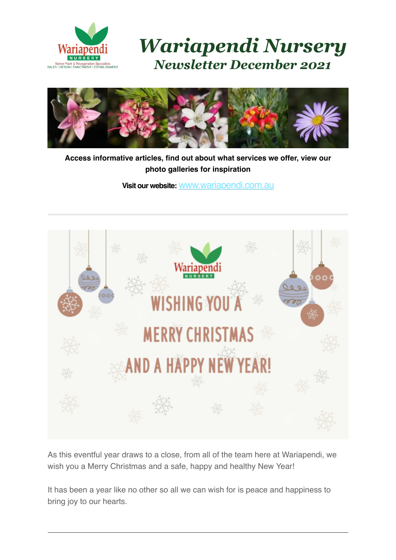

*Wariapendi Nursery Newsletter December 2021*



**Access informative articles, find out about what services we offer, view our photo galleries for inspiration**

**Visit our website:** [www.wariapendi.com.au](http://www.wariapendi.com.au/?tracking=5a2f21fb2200a)



As this eventful year draws to a close, from all of the team here at Wariapendi, we wish you a Merry Christmas and a safe, happy and healthy New Year!

It has been a year like no other so all we can wish for is peace and happiness to bring joy to our hearts.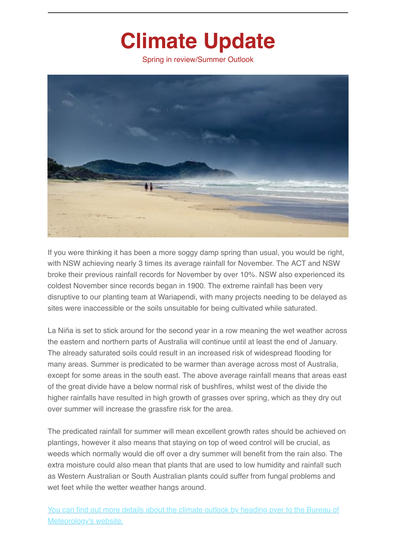## **Climate Update**

Spring in review/Summer Outlook



If you were thinking it has been a more soggy damp spring than usual, you would be right, with NSW achieving nearly 3 times its average rainfall for November. The ACT and NSW broke their previous rainfall records for November by over 10%. NSW also experienced its coldest November since records began in 1900. The extreme rainfall has been very disruptive to our planting team at Wariapendi, with many projects needing to be delayed as sites were inaccessible or the soils unsuitable for being cultivated while saturated.

La Niña is set to stick around for the second year in a row meaning the wet weather across the eastern and northern parts of Australia will continue until at least the end of January. The already saturated soils could result in an increased risk of widespread flooding for many areas. Summer is predicated to be warmer than average across most of Australia, except for some areas in the south east. The above average rainfall means that areas east of the great divide have a below normal risk of bushfires, whilst west of the divide the higher rainfalls have resulted in high growth of grasses over spring, which as they dry out over summer will increase the grassfire risk for the area.

The predicated rainfall for summer will mean excellent growth rates should be achieved on plantings, however it also means that staying on top of weed control will be crucial, as weeds which normally would die off over a dry summer will benefit from the rain also. The extra moisture could also mean that plants that are used to low humidity and rainfall such as Western Australian or South Australian plants could suffer from fungal problems and wet feet while the wetter weather hangs around.

[You can find out more details about the climate outlook by heading over to the Bureau of](http://www.bom.gov.au/climate/outlooks/#/overview/summary) Meteorology's website.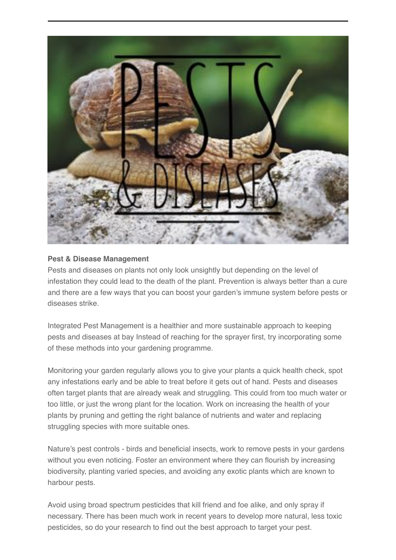

#### **Pest & Disease Management**

Pests and diseases on plants not only look unsightly but depending on the level of infestation they could lead to the death of the plant. Prevention is always better than a cure and there are a few ways that you can boost your garden's immune system before pests or diseases strike.

Integrated Pest Management is a healthier and more sustainable approach to keeping pests and diseases at bay Instead of reaching for the sprayer first, try incorporating some of these methods into your gardening programme.

Monitoring your garden regularly allows you to give your plants a quick health check, spot any infestations early and be able to treat before it gets out of hand. Pests and diseases often target plants that are already weak and struggling. This could from too much water or too little, or just the wrong plant for the location. Work on increasing the health of your plants by pruning and getting the right balance of nutrients and water and replacing struggling species with more suitable ones.

Nature's pest controls - birds and beneficial insects, work to remove pests in your gardens without you even noticing. Foster an environment where they can flourish by increasing biodiversity, planting varied species, and avoiding any exotic plants which are known to harbour pests.

Avoid using broad spectrum pesticides that kill friend and foe alike, and only spray if necessary. There has been much work in recent years to develop more natural, less toxic pesticides, so do your research to find out the best approach to target your pest.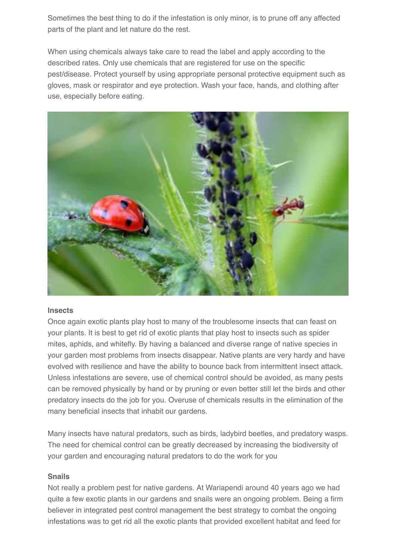Sometimes the best thing to do if the infestation is only minor, is to prune off any affected parts of the plant and let nature do the rest.

When using chemicals always take care to read the label and apply according to the described rates. Only use chemicals that are registered for use on the specific pest/disease. Protect yourself by using appropriate personal protective equipment such as gloves, mask or respirator and eye protection. Wash your face, hands, and clothing after use, especially before eating.



#### **Insects**

Once again exotic plants play host to many of the troublesome insects that can feast on your plants. It is best to get rid of exotic plants that play host to insects such as spider mites, aphids, and whitefly. By having a balanced and diverse range of native species in your garden most problems from insects disappear. Native plants are very hardy and have evolved with resilience and have the ability to bounce back from intermittent insect attack. Unless infestations are severe, use of chemical control should be avoided, as many pests can be removed physically by hand or by pruning or even better still let the birds and other predatory insects do the job for you. Overuse of chemicals results in the elimination of the many beneficial insects that inhabit our gardens.

Many insects have natural predators, such as birds, ladybird beetles, and predatory wasps. The need for chemical control can be greatly decreased by increasing the biodiversity of your garden and encouraging natural predators to do the work for you

#### **Snails**

Not really a problem pest for native gardens. At Wariapendi around 40 years ago we had quite a few exotic plants in our gardens and snails were an ongoing problem. Being a firm believer in integrated pest control management the best strategy to combat the ongoing infestations was to get rid all the exotic plants that provided excellent habitat and feed for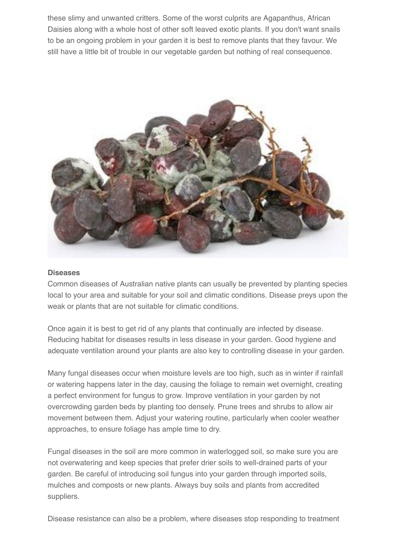these slimy and unwanted critters. Some of the worst culprits are Agapanthus, African Daisies along with a whole host of other soft leaved exotic plants. If you don't want snails to be an ongoing problem in your garden it is best to remove plants that they favour. We still have a little bit of trouble in our vegetable garden but nothing of real consequence.



#### **Diseases**

Common diseases of Australian native plants can usually be prevented by planting species local to your area and suitable for your soil and climatic conditions. Disease preys upon the weak or plants that are not suitable for climatic conditions.

Once again it is best to get rid of any plants that continually are infected by disease. Reducing habitat for diseases results in less disease in your garden. Good hygiene and adequate ventilation around your plants are also key to controlling disease in your garden.

Many fungal diseases occur when moisture levels are too high, such as in winter if rainfall or watering happens later in the day, causing the foliage to remain wet overnight, creating a perfect environment for fungus to grow. Improve ventilation in your garden by not overcrowding garden beds by planting too densely. Prune trees and shrubs to allow air movement between them. Adjust your watering routine, particularly when cooler weather approaches, to ensure foliage has ample time to dry.

Fungal diseases in the soil are more common in waterlogged soil, so make sure you are not overwatering and keep species that prefer drier soils to well-drained parts of your garden. Be careful of introducing soil fungus into your garden through imported soils, mulches and composts or new plants. Always buy soils and plants from accredited suppliers.

Disease resistance can also be a problem, where diseases stop responding to treatment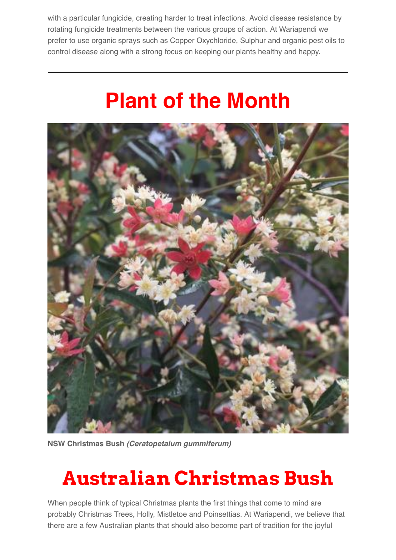with a particular fungicide, creating harder to treat infections. Avoid disease resistance by rotating fungicide treatments between the various groups of action. At Wariapendi we prefer to use organic sprays such as Copper Oxychloride, Sulphur and organic pest oils to control disease along with a strong focus on keeping our plants healthy and happy.

## **Plant of the Month**



**NSW Christmas Bush** *(Ceratopetalum gummiferum)*

## **Australian Christmas Bush**

When people think of typical Christmas plants the first things that come to mind are probably Christmas Trees, Holly, Mistletoe and Poinsettias. At Wariapendi, we believe that there are a few Australian plants that should also become part of tradition for the joyful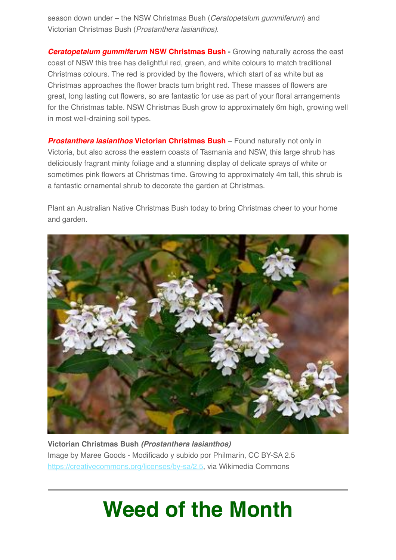season down under – the NSW Christmas Bush (*Ceratopetalum gummiferum*) and Victorian Christmas Bush (*Prostanthera lasianthos)*.

*Ceratopetalum gummiferum* **NSW Christmas Bush -** Growing naturally across the east coast of NSW this tree has delightful red, green, and white colours to match traditional Christmas colours. The red is provided by the flowers, which start of as white but as Christmas approaches the flower bracts turn bright red. These masses of flowers are great, long lasting cut flowers, so are fantastic for use as part of your floral arrangements for the Christmas table. NSW Christmas Bush grow to approximately 6m high, growing well in most well-draining soil types.

**Prostanthera lasianthos Victorian Christmas Bush –** Found naturally not only in Victoria, but also across the eastern coasts of Tasmania and NSW, this large shrub has deliciously fragrant minty foliage and a stunning display of delicate sprays of white or sometimes pink flowers at Christmas time. Growing to approximately 4m tall, this shrub is a fantastic ornamental shrub to decorate the garden at Christmas.

Plant an Australian Native Christmas Bush today to bring Christmas cheer to your home and garden.



**Victorian Christmas Bush** *(Prostanthera lasianthos)* Image by Maree Goods - Modificado y subido por Philmarin, CC BY-SA 2.5 <https://creativecommons.org/licenses/by-sa/2.5>, via Wikimedia Commons

## **Weed of the Month**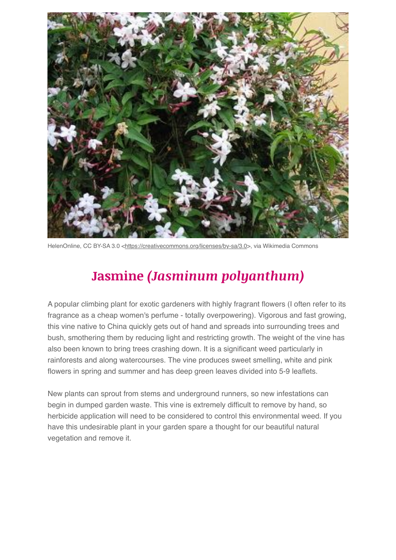

HelenOnline, CC BY-SA 3.0 <<https://creativecommons.org/licenses/by-sa/3.0>>, via Wikimedia Commons

### **Jasmine** *(Jasminum polyanthum)*

A popular climbing plant for exotic gardeners with highly fragrant flowers (I often refer to its fragrance as a cheap women's perfume - totally overpowering). Vigorous and fast growing, this vine native to China quickly gets out of hand and spreads into surrounding trees and bush, smothering them by reducing light and restricting growth. The weight of the vine has also been known to bring trees crashing down. It is a significant weed particularly in rainforests and along watercourses. The vine produces sweet smelling, white and pink flowers in spring and summer and has deep green leaves divided into 5-9 leaflets.

New plants can sprout from stems and underground runners, so new infestations can begin in dumped garden waste. This vine is extremely difficult to remove by hand, so herbicide application will need to be considered to control this environmental weed. If you have this undesirable plant in your garden spare a thought for our beautiful natural vegetation and remove it.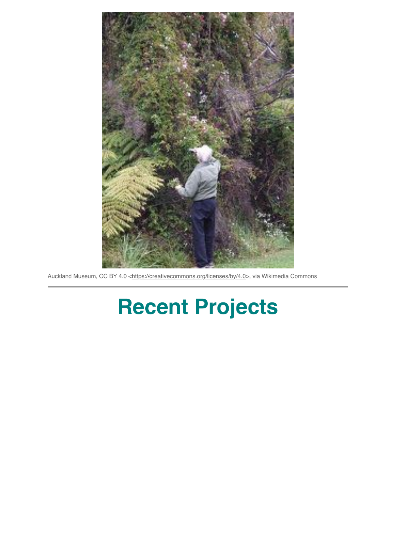

Auckland Museum, CC BY 4.0 [<https://creativecommons.org/licenses/by/4.0](https://creativecommons.org/licenses/by/4.0)>, via Wikimedia Commons

# **Recent Projects**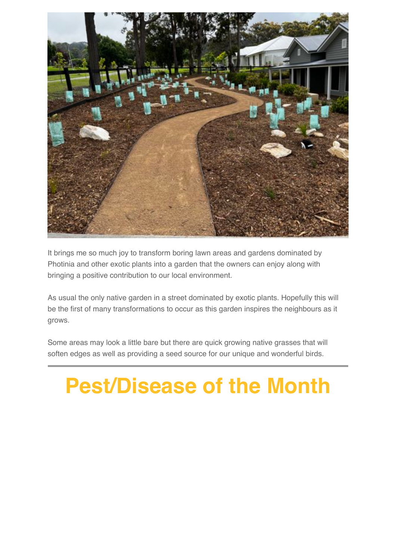

It brings me so much joy to transform boring lawn areas and gardens dominated by Photinia and other exotic plants into a garden that the owners can enjoy along with bringing a positive contribution to our local environment.

As usual the only native garden in a street dominated by exotic plants. Hopefully this will be the first of many transformations to occur as this garden inspires the neighbours as it grows.

Some areas may look a little bare but there are quick growing native grasses that will soften edges as well as providing a seed source for our unique and wonderful birds.

# **Pest/Disease of the Month**